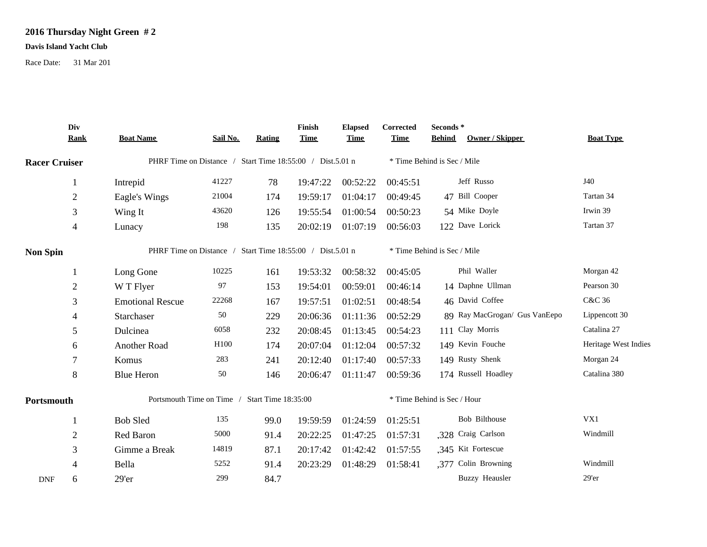## **2016 Thursday Night Green # 2**

## **Davis Island Yacht Club**

Race Date: 31 Mar 201

|                      | Div<br><b>Rank</b> | <b>Boat Name</b>                                          | Sail No. | <b>Rating</b> | Finish<br><b>Time</b> | <b>Elapsed</b><br><b>Time</b> | Corrected<br><b>Time</b>    | Seconds*<br>Owner / Skipper<br><b>Behind</b> | <b>Boat Type</b>     |  |
|----------------------|--------------------|-----------------------------------------------------------|----------|---------------|-----------------------|-------------------------------|-----------------------------|----------------------------------------------|----------------------|--|
| <b>Racer Cruiser</b> |                    | PHRF Time on Distance / Start Time 18:55:00 / Dist.5.01 n |          |               |                       |                               | * Time Behind is Sec / Mile |                                              |                      |  |
|                      | 1                  | Intrepid                                                  | 41227    | 78            | 19:47:22              | 00:52:22                      | 00:45:51                    | Jeff Russo                                   | J40                  |  |
|                      | $\sqrt{2}$         | Eagle's Wings                                             | 21004    | 174           | 19:59:17              | 01:04:17                      | 00:49:45                    | 47 Bill Cooper                               | Tartan 34            |  |
|                      | $\mathfrak{Z}$     | Wing It                                                   | 43620    | 126           | 19:55:54              | 01:00:54                      | 00:50:23                    | 54 Mike Doyle                                | Irwin 39             |  |
|                      | 4                  | Lunacy                                                    | 198      | 135           | 20:02:19              | 01:07:19                      | 00:56:03                    | 122 Dave Lorick                              | Tartan 37            |  |
| <b>Non Spin</b>      |                    | PHRF Time on Distance / Start Time 18:55:00 / Dist.5.01 n |          |               |                       |                               |                             | * Time Behind is Sec / Mile                  |                      |  |
|                      |                    | Long Gone                                                 | 10225    | 161           | 19:53:32              | 00:58:32                      | 00:45:05                    | Phil Waller                                  | Morgan 42            |  |
|                      | $\overline{2}$     | W T Flyer                                                 | 97       | 153           | 19:54:01              | 00:59:01                      | 00:46:14                    | 14 Daphne Ullman                             | Pearson 30           |  |
|                      | 3                  | <b>Emotional Rescue</b>                                   | 22268    | 167           | 19:57:51              | 01:02:51                      | 00:48:54                    | 46 David Coffee                              | C&C 36               |  |
|                      | 4                  | Starchaser                                                | 50       | 229           | 20:06:36              | 01:11:36                      | 00:52:29                    | 89 Ray MacGrogan/ Gus VanEepo                | Lippencott 30        |  |
|                      | 5                  | Dulcinea                                                  | 6058     | 232           | 20:08:45              | 01:13:45                      | 00:54:23                    | 111 Clay Morris                              | Catalina 27          |  |
|                      | 6                  | Another Road                                              | H100     | 174           | 20:07:04              | 01:12:04                      | 00:57:32                    | 149 Kevin Fouche                             | Heritage West Indies |  |
|                      | 7                  | Komus                                                     | 283      | 241           | 20:12:40              | 01:17:40                      | 00:57:33                    | 149 Rusty Shenk                              | Morgan 24            |  |
|                      | $\,8\,$            | <b>Blue Heron</b>                                         | 50       | 146           | 20:06:47              | 01:11:47                      | 00:59:36                    | 174 Russell Hoadley                          | Catalina 380         |  |
| Portsmouth           |                    | Portsmouth Time on Time /<br>Start Time 18:35:00          |          |               |                       |                               | * Time Behind is Sec / Hour |                                              |                      |  |
|                      | -1                 | <b>Bob Sled</b>                                           | 135      | 99.0          | 19:59:59              | 01:24:59                      | 01:25:51                    | Bob Bilthouse                                | VX1                  |  |
|                      | $\overline{2}$     | Red Baron                                                 | 5000     | 91.4          | 20:22:25              | 01:47:25                      | 01:57:31                    | ,328 Craig Carlson                           | Windmill             |  |
|                      | 3                  | Gimme a Break                                             | 14819    | 87.1          | 20:17:42              | 01:42:42                      | 01:57:55                    | ,345 Kit Fortescue                           |                      |  |
|                      | $\overline{4}$     | Bella                                                     | 5252     | 91.4          | 20:23:29              | 01:48:29                      | 01:58:41                    | .377 Colin Browning                          | Windmill             |  |
| <b>DNF</b>           | 6                  | 29'er                                                     | 299      | 84.7          |                       |                               |                             | <b>Buzzy Heausler</b>                        | $29'$ er             |  |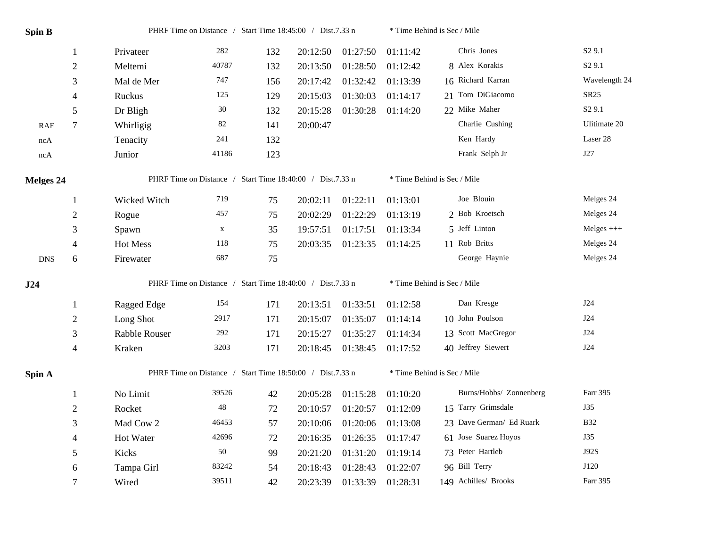| <b>Spin B</b> |                  | PHRF Time on Distance / Start Time 18:45:00 / Dist.7.33 n |             |     | * Time Behind is Sec / Mile |          |                             |                             |                    |  |  |
|---------------|------------------|-----------------------------------------------------------|-------------|-----|-----------------------------|----------|-----------------------------|-----------------------------|--------------------|--|--|
|               | -1               | Privateer                                                 | 282         | 132 | 20:12:50                    | 01:27:50 | 01:11:42                    | Chris Jones                 | S <sub>2</sub> 9.1 |  |  |
|               | $\boldsymbol{2}$ | Meltemi                                                   | 40787       | 132 | 20:13:50                    | 01:28:50 | 01:12:42                    | 8 Alex Korakis              | S <sub>2</sub> 9.1 |  |  |
|               | 3                | Mal de Mer                                                | 747         | 156 | 20:17:42                    | 01:32:42 | 01:13:39                    | 16 Richard Karran           | Wavelength 24      |  |  |
|               | 4                | Ruckus                                                    | 125         | 129 | 20:15:03                    | 01:30:03 | 01:14:17                    | 21 Tom DiGiacomo            | SR25               |  |  |
|               | 5                | Dr Bligh                                                  | 30          | 132 | 20:15:28                    | 01:30:28 | 01:14:20                    | 22 Mike Maher               | S <sub>2</sub> 9.1 |  |  |
| RAF           | $\tau$           | Whirligig                                                 | $82\,$      | 141 | 20:00:47                    |          |                             | Charlie Cushing             | Ulitimate 20       |  |  |
| ncA           |                  | Tenacity                                                  | 241         | 132 |                             |          |                             | Ken Hardy                   | Laser 28           |  |  |
| ncA           |                  | Junior                                                    | 41186       | 123 |                             |          |                             | Frank Selph Jr              | J27                |  |  |
| Melges 24     |                  | PHRF Time on Distance / Start Time 18:40:00 / Dist.7.33 n |             |     |                             |          | * Time Behind is Sec / Mile |                             |                    |  |  |
|               | $\mathbf{1}$     | Wicked Witch                                              | 719         | 75  | 20:02:11                    | 01:22:11 | 01:13:01                    | Joe Blouin                  | Melges 24          |  |  |
|               | $\boldsymbol{2}$ | Rogue                                                     | 457         | 75  | 20:02:29                    | 01:22:29 | 01:13:19                    | 2 Bob Kroetsch              | Melges 24          |  |  |
|               | 3                | Spawn                                                     | $\mathbf X$ | 35  | 19:57:51                    | 01:17:51 | 01:13:34                    | 5 Jeff Linton               | $Melges +++$       |  |  |
|               | $\overline{4}$   | <b>Hot Mess</b>                                           | 118         | 75  | 20:03:35                    | 01:23:35 | 01:14:25                    | 11 Rob Britts               | Melges 24          |  |  |
| <b>DNS</b>    | 6                | Firewater                                                 | 687         | 75  |                             |          |                             | George Haynie               | Melges 24          |  |  |
| J24           |                  | PHRF Time on Distance / Start Time 18:40:00 / Dist.7.33 n |             |     |                             |          |                             | * Time Behind is Sec / Mile |                    |  |  |
|               | $\mathbf{1}$     | Ragged Edge                                               | 154         | 171 | 20:13:51                    | 01:33:51 | 01:12:58                    | Dan Kresge                  | J24                |  |  |
|               | $\boldsymbol{2}$ | Long Shot                                                 | 2917        | 171 | 20:15:07                    | 01:35:07 | 01:14:14                    | 10 John Poulson             | J24                |  |  |
|               | $\mathfrak{Z}$   | Rabble Rouser                                             | 292         | 171 | 20:15:27                    | 01:35:27 | 01:14:34                    | 13 Scott MacGregor          | <b>J24</b>         |  |  |
|               | $\overline{4}$   | Kraken                                                    | 3203        | 171 | 20:18:45                    | 01:38:45 | 01:17:52                    | 40 Jeffrey Siewert          | J24                |  |  |
| Spin A        |                  | PHRF Time on Distance / Start Time 18:50:00 / Dist.7.33 n |             |     |                             |          |                             | * Time Behind is Sec / Mile |                    |  |  |
|               | 1                | No Limit                                                  | 39526       | 42  | 20:05:28                    | 01:15:28 | 01:10:20                    | Burns/Hobbs/ Zonnenberg     | Farr 395           |  |  |
|               | $\boldsymbol{2}$ | Rocket                                                    | 48          | 72  | 20:10:57                    | 01:20:57 | 01:12:09                    | 15 Tarry Grimsdale          | <b>J35</b>         |  |  |
|               | 3                | Mad Cow 2                                                 | 46453       | 57  | 20:10:06                    | 01:20:06 | 01:13:08                    | 23 Dave German/ Ed Ruark    | <b>B32</b>         |  |  |
|               | 4                | Hot Water                                                 | 42696       | 72  | 20:16:35                    | 01:26:35 | 01:17:47                    | 61 Jose Suarez Hoyos        | J35                |  |  |
|               | 5                | Kicks                                                     | 50          | 99  | 20:21:20                    | 01:31:20 | 01:19:14                    | 73 Peter Hartleb            | J92S               |  |  |
|               | 6                | Tampa Girl                                                | 83242       | 54  | 20:18:43                    | 01:28:43 | 01:22:07                    | 96 Bill Terry               | J120               |  |  |
|               | $\tau$           | Wired                                                     | 39511       | 42  | 20:23:39                    | 01:33:39 | 01:28:31                    | 149 Achilles/ Brooks        | Farr 395           |  |  |